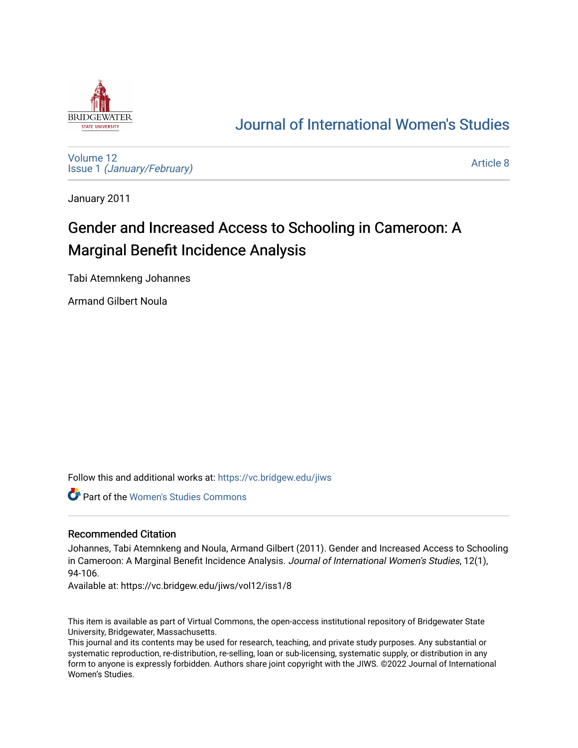

# [Journal of International Women's Studies](https://vc.bridgew.edu/jiws)

[Volume 12](https://vc.bridgew.edu/jiws/vol12) Issue 1 [\(January/February\)](https://vc.bridgew.edu/jiws/vol12/iss1) 

[Article 8](https://vc.bridgew.edu/jiws/vol12/iss1/8) 

January 2011

# Gender and Increased Access to Schooling in Cameroon: A Marginal Benefit Incidence Analysis

Tabi Atemnkeng Johannes

Armand Gilbert Noula

Follow this and additional works at: [https://vc.bridgew.edu/jiws](https://vc.bridgew.edu/jiws?utm_source=vc.bridgew.edu%2Fjiws%2Fvol12%2Fiss1%2F8&utm_medium=PDF&utm_campaign=PDFCoverPages)

Part of the [Women's Studies Commons](http://network.bepress.com/hgg/discipline/561?utm_source=vc.bridgew.edu%2Fjiws%2Fvol12%2Fiss1%2F8&utm_medium=PDF&utm_campaign=PDFCoverPages) 

### Recommended Citation

Johannes, Tabi Atemnkeng and Noula, Armand Gilbert (2011). Gender and Increased Access to Schooling in Cameroon: A Marginal Benefit Incidence Analysis. Journal of International Women's Studies, 12(1), 94-106.

Available at: https://vc.bridgew.edu/jiws/vol12/iss1/8

This item is available as part of Virtual Commons, the open-access institutional repository of Bridgewater State University, Bridgewater, Massachusetts.

This journal and its contents may be used for research, teaching, and private study purposes. Any substantial or systematic reproduction, re-distribution, re-selling, loan or sub-licensing, systematic supply, or distribution in any form to anyone is expressly forbidden. Authors share joint copyright with the JIWS. ©2022 Journal of International Women's Studies.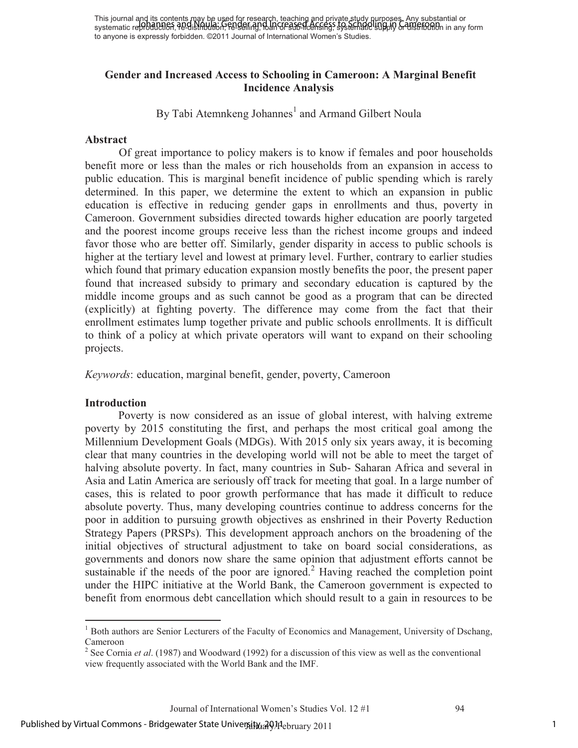This journal and its contents may be used for research, teaching and private study purposes. Any substantial or This journal and no concents that will accent research, reading and private Schooling in Substantial or distribution in any form substantial or to anyone is expressly forbidden. ©2011 Journal of International Women's Studies.

### **Gender and Increased Access to Schooling in Cameroon: A Marginal Benefit Incidence Analysis**

By Tabi Atemnkeng Johannes<sup>1</sup> and Armand Gilbert Noula

#### **Abstract**

Of great importance to policy makers is to know if females and poor households benefit more or less than the males or rich households from an expansion in access to public education. This is marginal benefit incidence of public spending which is rarely determined. In this paper, we determine the extent to which an expansion in public education is effective in reducing gender gaps in enrollments and thus, poverty in Cameroon. Government subsidies directed towards higher education are poorly targeted and the poorest income groups receive less than the richest income groups and indeed favor those who are better off. Similarly, gender disparity in access to public schools is higher at the tertiary level and lowest at primary level. Further, contrary to earlier studies which found that primary education expansion mostly benefits the poor, the present paper found that increased subsidy to primary and secondary education is captured by the middle income groups and as such cannot be good as a program that can be directed (explicitly) at fighting poverty. The difference may come from the fact that their enrollment estimates lump together private and public schools enrollments. It is difficult to think of a policy at which private operators will want to expand on their schooling projects.

*Keywords*: education, marginal benefit, gender, poverty, Cameroon

#### **Introduction**

Poverty is now considered as an issue of global interest, with halving extreme poverty by 2015 constituting the first, and perhaps the most critical goal among the Millennium Development Goals (MDGs). With 2015 only six years away, it is becoming clear that many countries in the developing world will not be able to meet the target of halving absolute poverty. In fact, many countries in Sub- Saharan Africa and several in Asia and Latin America are seriously off track for meeting that goal. In a large number of cases, this is related to poor growth performance that has made it difficult to reduce absolute poverty. Thus, many developing countries continue to address concerns for the poor in addition to pursuing growth objectives as enshrined in their Poverty Reduction Strategy Papers (PRSPs). This development approach anchors on the broadening of the initial objectives of structural adjustment to take on board social considerations, as governments and donors now share the same opinion that adjustment efforts cannot be sustainable if the needs of the poor are ignored.<sup>2</sup> Having reached the completion point under the HIPC initiative at the World Bank, the Cameroon government is expected to benefit from enormous debt cancellation which should result to a gain in resources to be

 $\overline{a}$ <sup>1</sup> Both authors are Senior Lecturers of the Faculty of Economics and Management, University of Dschang, Cameroon

<sup>2</sup> See Cornia *et al*. (1987) and Woodward (1992) for a discussion of this view as well as the conventional view frequently associated with the World Bank and the IMF.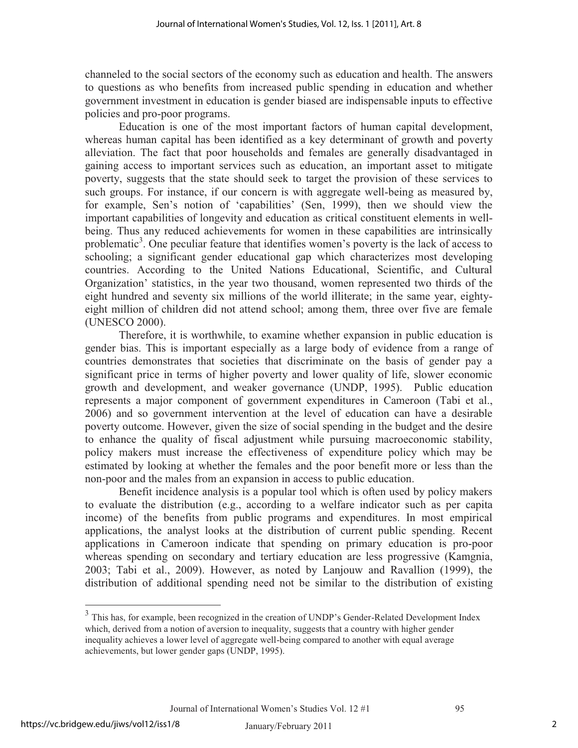channeled to the social sectors of the economy such as education and health. The answers to questions as who benefits from increased public spending in education and whether government investment in education is gender biased are indispensable inputs to effective policies and pro-poor programs.

Education is one of the most important factors of human capital development, whereas human capital has been identified as a key determinant of growth and poverty alleviation. The fact that poor households and females are generally disadvantaged in gaining access to important services such as education, an important asset to mitigate poverty, suggests that the state should seek to target the provision of these services to such groups. For instance, if our concern is with aggregate well-being as measured by, for example, Sen's notion of 'capabilities' (Sen, 1999), then we should view the important capabilities of longevity and education as critical constituent elements in wellbeing. Thus any reduced achievements for women in these capabilities are intrinsically problematic<sup>3</sup>. One peculiar feature that identifies women's poverty is the lack of access to schooling; a significant gender educational gap which characterizes most developing countries. According to the United Nations Educational, Scientific, and Cultural Organization' statistics, in the year two thousand, women represented two thirds of the eight hundred and seventy six millions of the world illiterate; in the same year, eightyeight million of children did not attend school; among them, three over five are female (UNESCO 2000).

Therefore, it is worthwhile, to examine whether expansion in public education is gender bias. This is important especially as a large body of evidence from a range of countries demonstrates that societies that discriminate on the basis of gender pay a significant price in terms of higher poverty and lower quality of life, slower economic growth and development, and weaker governance (UNDP, 1995). Public education represents a major component of government expenditures in Cameroon (Tabi et al., 2006) and so government intervention at the level of education can have a desirable poverty outcome. However, given the size of social spending in the budget and the desire to enhance the quality of fiscal adjustment while pursuing macroeconomic stability, policy makers must increase the effectiveness of expenditure policy which may be estimated by looking at whether the females and the poor benefit more or less than the non-poor and the males from an expansion in access to public education.

Benefit incidence analysis is a popular tool which is often used by policy makers to evaluate the distribution (e.g., according to a welfare indicator such as per capita income) of the benefits from public programs and expenditures. In most empirical applications, the analyst looks at the distribution of current public spending. Recent applications in Cameroon indicate that spending on primary education is pro-poor whereas spending on secondary and tertiary education are less progressive (Kamgnia, 2003; Tabi et al., 2009). However, as noted by Lanjouw and Ravallion (1999), the distribution of additional spending need not be similar to the distribution of existing

 $\overline{a}$ 

<sup>&</sup>lt;sup>3</sup> This has, for example, been recognized in the creation of UNDP's Gender-Related Development Index which, derived from a notion of aversion to inequality, suggests that a country with higher gender inequality achieves a lower level of aggregate well-being compared to another with equal average achievements, but lower gender gaps (UNDP, 1995).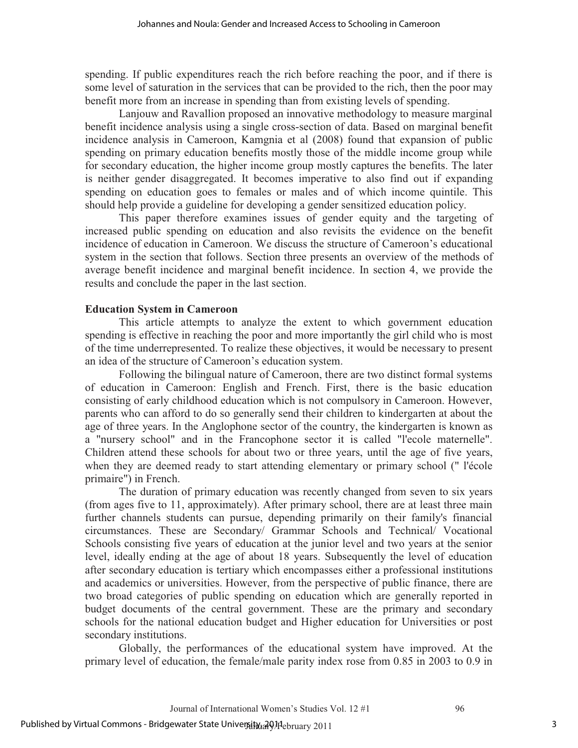spending. If public expenditures reach the rich before reaching the poor, and if there is some level of saturation in the services that can be provided to the rich, then the poor may benefit more from an increase in spending than from existing levels of spending.

Lanjouw and Ravallion proposed an innovative methodology to measure marginal benefit incidence analysis using a single cross-section of data. Based on marginal benefit incidence analysis in Cameroon, Kamgnia et al (2008) found that expansion of public spending on primary education benefits mostly those of the middle income group while for secondary education, the higher income group mostly captures the benefits. The later is neither gender disaggregated. It becomes imperative to also find out if expanding spending on education goes to females or males and of which income quintile. This should help provide a guideline for developing a gender sensitized education policy.

This paper therefore examines issues of gender equity and the targeting of increased public spending on education and also revisits the evidence on the benefit incidence of education in Cameroon. We discuss the structure of Cameroon's educational system in the section that follows. Section three presents an overview of the methods of average benefit incidence and marginal benefit incidence. In section 4, we provide the results and conclude the paper in the last section.

### **Education System in Cameroon**

This article attempts to analyze the extent to which government education spending is effective in reaching the poor and more importantly the girl child who is most of the time underrepresented. To realize these objectives, it would be necessary to present an idea of the structure of Cameroon's education system.

Following the bilingual nature of Cameroon, there are two distinct formal systems of education in Cameroon: English and French. First, there is the basic education consisting of early childhood education which is not compulsory in Cameroon. However, parents who can afford to do so generally send their children to kindergarten at about the age of three years. In the Anglophone sector of the country, the kindergarten is known as a "nursery school" and in the Francophone sector it is called "l'ecole maternelle". Children attend these schools for about two or three years, until the age of five years, when they are deemed ready to start attending elementary or primary school (" l'école primaire") in French.

The duration of primary education was recently changed from seven to six years (from ages five to 11, approximately). After primary school, there are at least three main further channels students can pursue, depending primarily on their family's financial circumstances. These are Secondary/ Grammar Schools and Technical/ Vocational Schools consisting five years of education at the junior level and two years at the senior level, ideally ending at the age of about 18 years. Subsequently the level of education after secondary education is tertiary which encompasses either a professional institutions and academics or universities. However, from the perspective of public finance, there are two broad categories of public spending on education which are generally reported in budget documents of the central government. These are the primary and secondary schools for the national education budget and Higher education for Universities or post secondary institutions.

Globally, the performances of the educational system have improved. At the primary level of education, the female/male parity index rose from 0.85 in 2003 to 0.9 in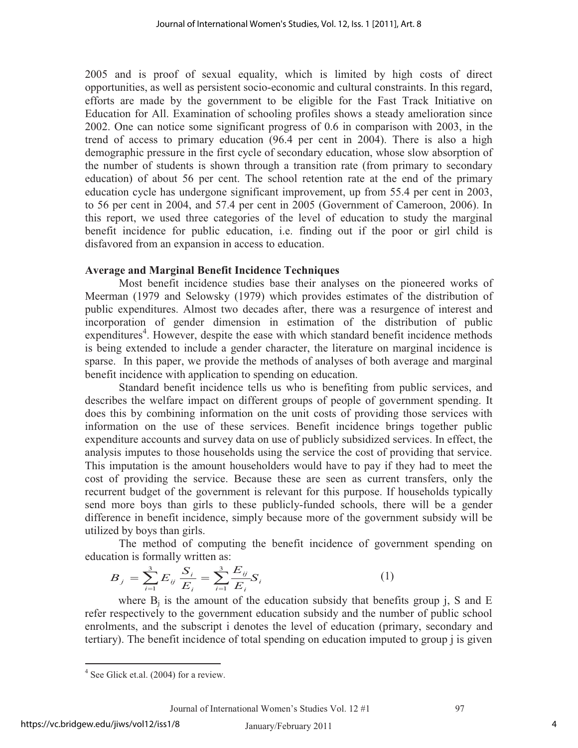2005 and is proof of sexual equality, which is limited by high costs of direct opportunities, as well as persistent socio-economic and cultural constraints. In this regard, efforts are made by the government to be eligible for the Fast Track Initiative on Education for All. Examination of schooling profiles shows a steady amelioration since 2002. One can notice some significant progress of 0.6 in comparison with 2003, in the trend of access to primary education (96.4 per cent in 2004). There is also a high demographic pressure in the first cycle of secondary education, whose slow absorption of the number of students is shown through a transition rate (from primary to secondary education) of about 56 per cent. The school retention rate at the end of the primary education cycle has undergone significant improvement, up from 55.4 per cent in 2003, to 56 per cent in 2004, and 57.4 per cent in 2005 (Government of Cameroon, 2006). In this report, we used three categories of the level of education to study the marginal benefit incidence for public education, i.e. finding out if the poor or girl child is disfavored from an expansion in access to education.

### **Average and Marginal Benefit Incidence Techniques**

Most benefit incidence studies base their analyses on the pioneered works of Meerman (1979 and Selowsky (1979) which provides estimates of the distribution of public expenditures. Almost two decades after, there was a resurgence of interest and incorporation of gender dimension in estimation of the distribution of public expenditures<sup>4</sup>. However, despite the ease with which standard benefit incidence methods is being extended to include a gender character, the literature on marginal incidence is sparse. In this paper, we provide the methods of analyses of both average and marginal benefit incidence with application to spending on education.

Standard benefit incidence tells us who is benefiting from public services, and describes the welfare impact on different groups of people of government spending. It does this by combining information on the unit costs of providing those services with information on the use of these services. Benefit incidence brings together public expenditure accounts and survey data on use of publicly subsidized services. In effect, the analysis imputes to those households using the service the cost of providing that service. This imputation is the amount householders would have to pay if they had to meet the cost of providing the service. Because these are seen as current transfers, only the recurrent budget of the government is relevant for this purpose. If households typically send more boys than girls to these publicly-funded schools, there will be a gender difference in benefit incidence, simply because more of the government subsidy will be utilized by boys than girls.

The method of computing the benefit incidence of government spending on education is formally written as:

$$
B_j = \sum_{i=1}^3 E_{ij} \frac{S_i}{E_i} = \sum_{i=1}^3 \frac{E_{ij}}{E_i} S_i
$$
 (1)

where  $B_i$  is the amount of the education subsidy that benefits group j, S and E refer respectively to the government education subsidy and the number of public school enrolments, and the subscript i denotes the level of education (primary, secondary and tertiary). The benefit incidence of total spending on education imputed to group j is given

Journal of International Women's Studies Vol. 12 #1 97

 $\overline{a}$  $4$  See Glick et.al. (2004) for a review.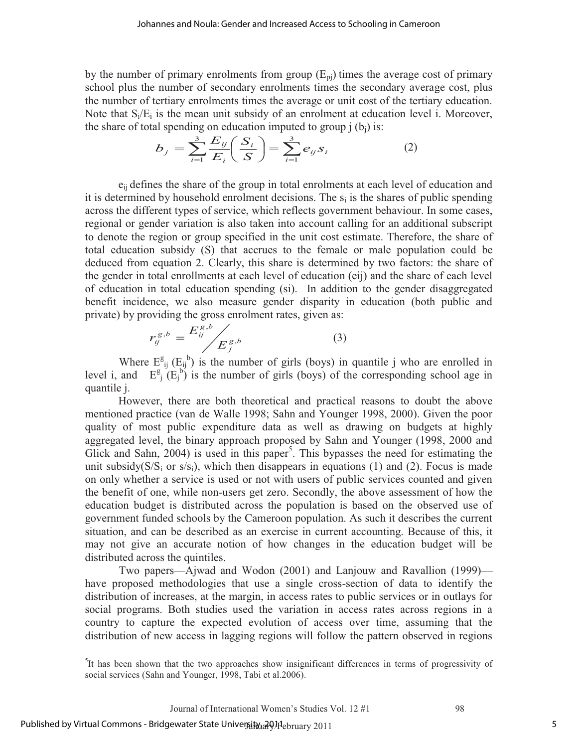by the number of primary enrolments from group  $(E_{pi})$  times the average cost of primary school plus the number of secondary enrolments times the secondary average cost, plus the number of tertiary enrolments times the average or unit cost of the tertiary education. Note that  $S_i/E_i$  is the mean unit subsidy of an enrolment at education level i. Moreover,

the share of total spending on education imputed to group j (b<sub>j</sub>) is:  
\n
$$
b_j = \sum_{i=1}^{3} \frac{E_{ij}}{E_i} \left(\frac{S_i}{S}\right) = \sum_{i=1}^{3} e_{ij} s_i
$$
\n(2)

 eij defines the share of the group in total enrolments at each level of education and it is determined by household enrolment decisions. The  $s_i$  is the shares of public spending across the different types of service, which reflects government behaviour. In some cases, regional or gender variation is also taken into account calling for an additional subscript to denote the region or group specified in the unit cost estimate. Therefore, the share of total education subsidy (S) that accrues to the female or male population could be deduced from equation 2. Clearly, this share is determined by two factors: the share of the gender in total enrollments at each level of education (eij) and the share of each level of education in total education spending (si). In addition to the gender disaggregated benefit incidence, we also measure gender disparity in education (both public and private) by providing the gross enrolment rates, given as:

$$
r_{ij}^{g,b} = \frac{E_{ij}^{g,b}}{E_j^{g,b}}
$$
 (3)

Where  $E_{ij}^{g} (E_{ij}^{b})$  is the number of girls (boys) in quantile j who are enrolled in level i, and  $E_j^g(E_j^b)$  is the number of girls (boys) of the corresponding school age in quantile j.

However, there are both theoretical and practical reasons to doubt the above mentioned practice (van de Walle 1998; Sahn and Younger 1998, 2000). Given the poor quality of most public expenditure data as well as drawing on budgets at highly aggregated level, the binary approach proposed by Sahn and Younger (1998, 2000 and Glick and Sahn,  $2004$ ) is used in this paper<sup>5</sup>. This bypasses the need for estimating the unit subsidy( $S/S<sub>i</sub>$  or  $S/S<sub>i</sub>$ ), which then disappears in equations (1) and (2). Focus is made on only whether a service is used or not with users of public services counted and given the benefit of one, while non-users get zero. Secondly, the above assessment of how the education budget is distributed across the population is based on the observed use of government funded schools by the Cameroon population. As such it describes the current situation, and can be described as an exercise in current accounting. Because of this, it may not give an accurate notion of how changes in the education budget will be distributed across the quintiles.

Two papers—Ajwad and Wodon (2001) and Lanjouw and Ravallion (1999) have proposed methodologies that use a single cross-section of data to identify the distribution of increases, at the margin, in access rates to public services or in outlays for social programs. Both studies used the variation in access rates across regions in a country to capture the expected evolution of access over time, assuming that the distribution of new access in lagging regions will follow the pattern observed in regions

 $\overline{a}$ 

<sup>&</sup>lt;sup>5</sup>It has been shown that the two approaches show insignificant differences in terms of progressivity of social services (Sahn and Younger, 1998, Tabi et al.2006).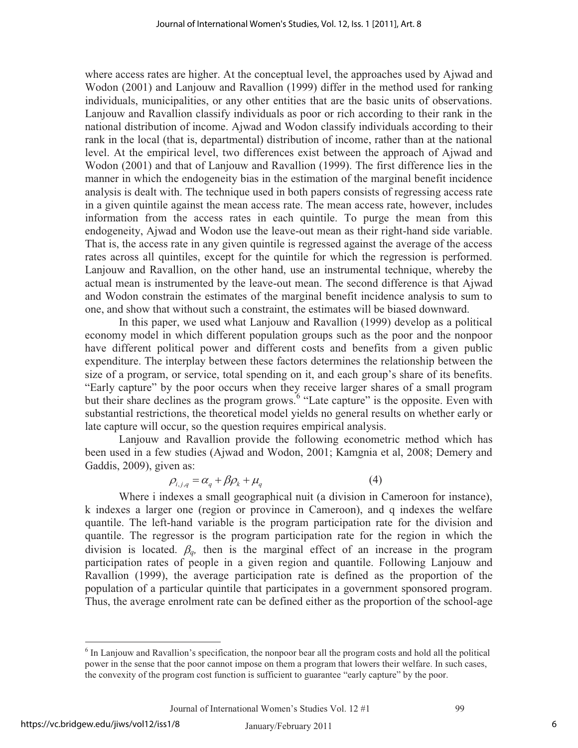where access rates are higher. At the conceptual level, the approaches used by Ajwad and Wodon (2001) and Lanjouw and Ravallion (1999) differ in the method used for ranking individuals, municipalities, or any other entities that are the basic units of observations. Lanjouw and Ravallion classify individuals as poor or rich according to their rank in the national distribution of income. Ajwad and Wodon classify individuals according to their rank in the local (that is, departmental) distribution of income, rather than at the national level. At the empirical level, two differences exist between the approach of Ajwad and Wodon (2001) and that of Lanjouw and Ravallion (1999). The first difference lies in the manner in which the endogeneity bias in the estimation of the marginal benefit incidence analysis is dealt with. The technique used in both papers consists of regressing access rate in a given quintile against the mean access rate. The mean access rate, however, includes information from the access rates in each quintile. To purge the mean from this endogeneity, Ajwad and Wodon use the leave-out mean as their right-hand side variable. That is, the access rate in any given quintile is regressed against the average of the access rates across all quintiles, except for the quintile for which the regression is performed. Lanjouw and Ravallion, on the other hand, use an instrumental technique, whereby the actual mean is instrumented by the leave-out mean. The second difference is that Ajwad and Wodon constrain the estimates of the marginal benefit incidence analysis to sum to one, and show that without such a constraint, the estimates will be biased downward.

In this paper, we used what Lanjouw and Ravallion (1999) develop as a political economy model in which different population groups such as the poor and the nonpoor have different political power and different costs and benefits from a given public expenditure. The interplay between these factors determines the relationship between the size of a program, or service, total spending on it, and each group's share of its benefits. "Early capture" by the poor occurs when they receive larger shares of a small program but their share declines as the program grows.<sup>6</sup> "Late capture" is the opposite. Even with substantial restrictions, the theoretical model yields no general results on whether early or late capture will occur, so the question requires empirical analysis.

Lanjouw and Ravallion provide the following econometric method which has been used in a few studies (Ajwad and Wodon, 2001; Kamgnia et al, 2008; Demery and Gaddis, 2009), given as:

$$
\rho_{i,j,q} = \alpha_q + \beta \rho_k + \mu_q \tag{4}
$$

Where i indexes a small geographical nuit (a division in Cameroon for instance), k indexes a larger one (region or province in Cameroon), and q indexes the welfare quantile. The left-hand variable is the program participation rate for the division and quantile. The regressor is the program participation rate for the region in which the division is located.  $\beta_q$ , then is the marginal effect of an increase in the program participation rates of people in a given region and quantile. Following Lanjouw and Ravallion (1999), the average participation rate is defined as the proportion of the population of a particular quintile that participates in a government sponsored program. Thus, the average enrolment rate can be defined either as the proportion of the school-age

 $\overline{a}$ <sup>6</sup> In Lanjouw and Ravallion's specification, the nonpoor bear all the program costs and hold all the political power in the sense that the poor cannot impose on them a program that lowers their welfare. In such cases, the convexity of the program cost function is sufficient to guarantee "early capture" by the poor.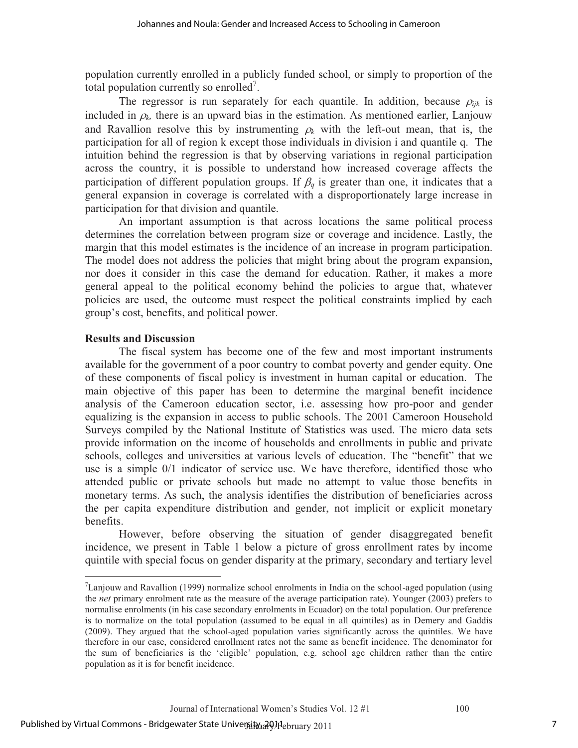population currently enrolled in a publicly funded school, or simply to proportion of the total population currently so enrolled<sup>7</sup>.

The regressor is run separately for each quantile. In addition, because  $\rho_{ijk}$  is included in  $\rho_k$ , there is an upward bias in the estimation. As mentioned earlier, Lanjouw and Ravallion resolve this by instrumenting  $\rho_k$  with the left-out mean, that is, the participation for all of region k except those individuals in division i and quantile q. The intuition behind the regression is that by observing variations in regional participation across the country, it is possible to understand how increased coverage affects the participation of different population groups. If  $\beta_q$  is greater than one, it indicates that a general expansion in coverage is correlated with a disproportionately large increase in participation for that division and quantile.

An important assumption is that across locations the same political process determines the correlation between program size or coverage and incidence. Lastly, the margin that this model estimates is the incidence of an increase in program participation. The model does not address the policies that might bring about the program expansion, nor does it consider in this case the demand for education. Rather, it makes a more general appeal to the political economy behind the policies to argue that, whatever policies are used, the outcome must respect the political constraints implied by each group's cost, benefits, and political power.

### **Results and Discussion**

 $\overline{a}$ 

The fiscal system has become one of the few and most important instruments available for the government of a poor country to combat poverty and gender equity. One of these components of fiscal policy is investment in human capital or education. The main objective of this paper has been to determine the marginal benefit incidence analysis of the Cameroon education sector, i.e. assessing how pro-poor and gender equalizing is the expansion in access to public schools. The 2001 Cameroon Household Surveys compiled by the National Institute of Statistics was used. The micro data sets provide information on the income of households and enrollments in public and private schools, colleges and universities at various levels of education. The "benefit" that we use is a simple 0/1 indicator of service use. We have therefore, identified those who attended public or private schools but made no attempt to value those benefits in monetary terms. As such, the analysis identifies the distribution of beneficiaries across the per capita expenditure distribution and gender, not implicit or explicit monetary benefits.

However, before observing the situation of gender disaggregated benefit incidence, we present in Table 1 below a picture of gross enrollment rates by income quintile with special focus on gender disparity at the primary, secondary and tertiary level

 $7$ Lanjouw and Ravallion (1999) normalize school enrolments in India on the school-aged population (using the *net* primary enrolment rate as the measure of the average participation rate). Younger (2003) prefers to normalise enrolments (in his case secondary enrolments in Ecuador) on the total population. Our preference is to normalize on the total population (assumed to be equal in all quintiles) as in Demery and Gaddis (2009). They argued that the school-aged population varies significantly across the quintiles. We have therefore in our case, considered enrollment rates not the same as benefit incidence. The denominator for the sum of beneficiaries is the 'eligible' population, e.g. school age children rather than the entire population as it is for benefit incidence.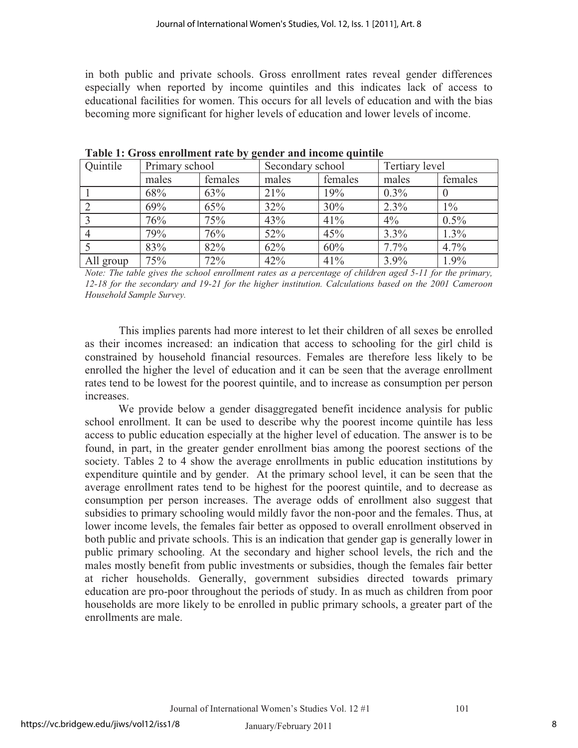in both public and private schools. Gross enrollment rates reveal gender differences especially when reported by income quintiles and this indicates lack of access to educational facilities for women. This occurs for all levels of education and with the bias becoming more significant for higher levels of education and lower levels of income.

| Quintile       | Primary school |         | Secondary school |         | Tertiary level |         |
|----------------|----------------|---------|------------------|---------|----------------|---------|
|                | males          | females | males            | females | males          | females |
|                | 68%            | 63%     | 21%              | 19%     | $0.3\%$        |         |
|                | 69%            | 65%     | 32%              | 30%     | 2.3%           | $1\%$   |
| $\overline{3}$ | 76%            | 75%     | 43%              | 41%     | $4\%$          | $0.5\%$ |
|                | 79%            | 76%     | 52%              | 45%     | 3.3%           | $1.3\%$ |
|                | 83%            | 82%     | 62%              | 60%     | $7.7\%$        | 4.7%    |
| All group      | 75%            | 72%     | 42%              | 41%     | 3.9%           | 1.9%    |

**Table 1: Gross enrollment rate by gender and income quintile** 

*Note: The table gives the school enrollment rates as a percentage of children aged 5-11 for the primary, 12-18 for the secondary and 19-21 for the higher institution. Calculations based on the 2001 Cameroon Household Sample Survey.* 

This implies parents had more interest to let their children of all sexes be enrolled as their incomes increased: an indication that access to schooling for the girl child is constrained by household financial resources. Females are therefore less likely to be enrolled the higher the level of education and it can be seen that the average enrollment rates tend to be lowest for the poorest quintile, and to increase as consumption per person increases.

We provide below a gender disaggregated benefit incidence analysis for public school enrollment. It can be used to describe why the poorest income quintile has less access to public education especially at the higher level of education. The answer is to be found, in part, in the greater gender enrollment bias among the poorest sections of the society. Tables 2 to 4 show the average enrollments in public education institutions by expenditure quintile and by gender. At the primary school level, it can be seen that the average enrollment rates tend to be highest for the poorest quintile, and to decrease as consumption per person increases. The average odds of enrollment also suggest that subsidies to primary schooling would mildly favor the non-poor and the females. Thus, at lower income levels, the females fair better as opposed to overall enrollment observed in both public and private schools. This is an indication that gender gap is generally lower in public primary schooling. At the secondary and higher school levels, the rich and the males mostly benefit from public investments or subsidies, though the females fair better at richer households. Generally, government subsidies directed towards primary education are pro-poor throughout the periods of study. In as much as children from poor households are more likely to be enrolled in public primary schools, a greater part of the enrollments are male.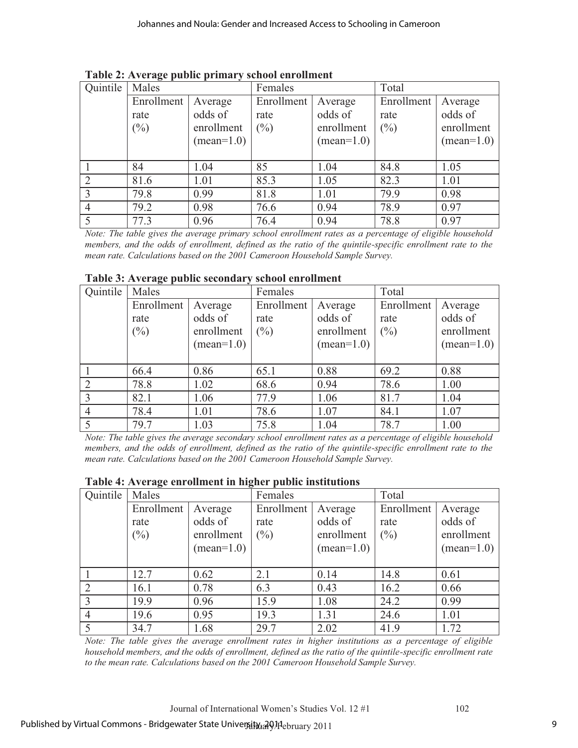| Quintile       | Males      |                     | Females    |                     | Total      |              |
|----------------|------------|---------------------|------------|---------------------|------------|--------------|
|                | Enrollment | Average             | Enrollment | Average             | Enrollment | Average      |
|                | rate       | odds of             | rate       | odds of             | rate       | odds of      |
|                | $(\%)$     | enrollment          | $(\%)$     | enrollment          | $(\%)$     | enrollment   |
|                |            | $(\text{mean}=1.0)$ |            | $(\text{mean}=1.0)$ |            | $(mean=1.0)$ |
|                |            |                     |            |                     |            |              |
|                | 84         | 1.04                | 85         | 1.04                | 84.8       | 1.05         |
| $\overline{2}$ | 81.6       | 1.01                | 85.3       | 1.05                | 82.3       | 1.01         |
| 3              | 79.8       | 0.99                | 81.8       | 1.01                | 79.9       | 0.98         |
|                | 79.2       | 0.98                | 76.6       | 0.94                | 78.9       | 0.97         |
|                | 77.3       | 0.96                | 76.4       | 0.94                | 78.8       | 0.97         |

**Table 2: Average public primary school enrollment** 

*Note: The table gives the average primary school enrollment rates as a percentage of eligible household members, and the odds of enrollment, defined as the ratio of the quintile-specific enrollment rate to the mean rate. Calculations based on the 2001 Cameroon Household Sample Survey.* 

| Quintile       | Males      |              | Females    |                     | Total      |              |
|----------------|------------|--------------|------------|---------------------|------------|--------------|
|                | Enrollment | Average      | Enrollment | Average             | Enrollment | Average      |
|                | rate       | odds of      | rate       | odds of             | rate       | odds of      |
|                | $(\%)$     | enrollment   | $(\%)$     | enrollment          | $(\%)$     | enrollment   |
|                |            | $(mean=1.0)$ |            | $(\text{mean}=1.0)$ |            | $(mean=1.0)$ |
|                |            |              |            |                     |            |              |
|                | 66.4       | 0.86         | 65.1       | 0.88                | 69.2       | 0.88         |
| $\overline{2}$ | 78.8       | 1.02         | 68.6       | 0.94                | 78.6       | 1.00         |
| 3              | 82.1       | 1.06         | 77.9       | 1.06                | 81.7       | 1.04         |
| 4              | 78.4       | 1.01         | 78.6       | 1.07                | 84.1       | 1.07         |
| 5              | 79.7       | 1.03         | 75.8       | 1.04                | 78.7       | 1.00         |

#### **Table 3: Average public secondary school enrollment**

*Note: The table gives the average secondary school enrollment rates as a percentage of eligible household members, and the odds of enrollment, defined as the ratio of the quintile-specific enrollment rate to the mean rate. Calculations based on the 2001 Cameroon Household Sample Survey.* 

### **Table 4: Average enrollment in higher public institutions**

| Quintile       | Males      |              | Females    |              | Total      |              |
|----------------|------------|--------------|------------|--------------|------------|--------------|
|                | Enrollment | Average      | Enrollment | Average      | Enrollment | Average      |
|                | rate       | odds of      | rate       | odds of      | rate       | odds of      |
|                | $(\%)$     | enrollment   | $(\%)$     | enrollment   | $(\%)$     | enrollment   |
|                |            | $(mean=1.0)$ |            | $(mean=1.0)$ |            | $(mean=1.0)$ |
|                |            |              |            |              |            |              |
|                | 12.7       | 0.62         | 2.1        | 0.14         | 14.8       | 0.61         |
| $\overline{2}$ | 16.1       | 0.78         | 6.3        | 0.43         | 16.2       | 0.66         |
| 3              | 19.9       | 0.96         | 15.9       | 1.08         | 24.2       | 0.99         |
| $\overline{4}$ | 19.6       | 0.95         | 19.3       | 1.31         | 24.6       | 1.01         |
|                | 34.7       | 1.68         | 29.7       | 2.02         | 41.9       | 1.72         |

*Note: The table gives the average enrollment rates in higher institutions as a percentage of eligible household members, and the odds of enrollment, defined as the ratio of the quintile-specific enrollment rate to the mean rate. Calculations based on the 2001 Cameroon Household Sample Survey.*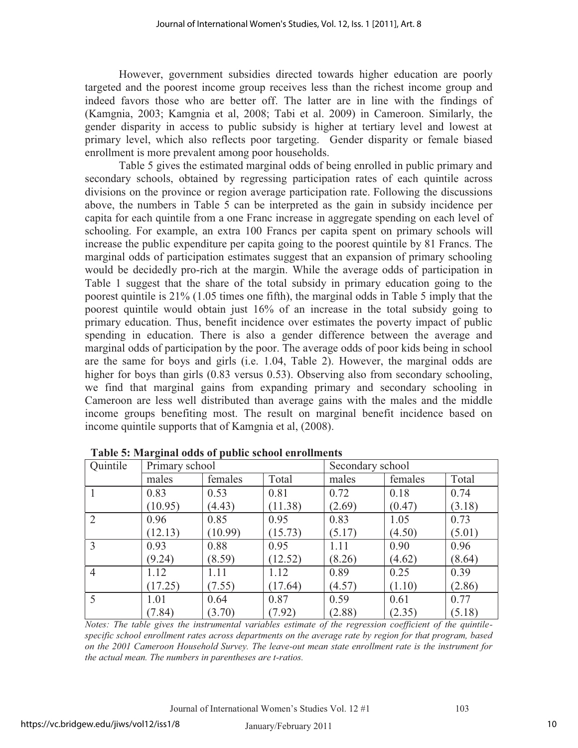However, government subsidies directed towards higher education are poorly targeted and the poorest income group receives less than the richest income group and indeed favors those who are better off. The latter are in line with the findings of (Kamgnia, 2003; Kamgnia et al, 2008; Tabi et al. 2009) in Cameroon. Similarly, the gender disparity in access to public subsidy is higher at tertiary level and lowest at primary level, which also reflects poor targeting. Gender disparity or female biased enrollment is more prevalent among poor households.

Table 5 gives the estimated marginal odds of being enrolled in public primary and secondary schools, obtained by regressing participation rates of each quintile across divisions on the province or region average participation rate. Following the discussions above, the numbers in Table 5 can be interpreted as the gain in subsidy incidence per capita for each quintile from a one Franc increase in aggregate spending on each level of schooling. For example, an extra 100 Francs per capita spent on primary schools will increase the public expenditure per capita going to the poorest quintile by 81 Francs. The marginal odds of participation estimates suggest that an expansion of primary schooling would be decidedly pro-rich at the margin. While the average odds of participation in Table 1 suggest that the share of the total subsidy in primary education going to the poorest quintile is 21% (1.05 times one fifth), the marginal odds in Table 5 imply that the poorest quintile would obtain just 16% of an increase in the total subsidy going to primary education. Thus, benefit incidence over estimates the poverty impact of public spending in education. There is also a gender difference between the average and marginal odds of participation by the poor. The average odds of poor kids being in school are the same for boys and girls (i.e. 1.04, Table 2). However, the marginal odds are higher for boys than girls (0.83 versus 0.53). Observing also from secondary schooling, we find that marginal gains from expanding primary and secondary schooling in Cameroon are less well distributed than average gains with the males and the middle income groups benefiting most. The result on marginal benefit incidence based on income quintile supports that of Kamgnia et al, (2008).

| Quintile       | Primary school |         |         | Secondary school |         |        |
|----------------|----------------|---------|---------|------------------|---------|--------|
|                | males          | females | Total   | males            | females | Total  |
|                | 0.83           | 0.53    | 0.81    | 0.72             | 0.18    | 0.74   |
|                | (10.95)        | (4.43)  | (11.38) | (2.69)           | (0.47)  | (3.18) |
| 2              | 0.96           | 0.85    | 0.95    | 0.83             | 1.05    | 0.73   |
|                | (12.13)        | (10.99) | (15.73) | (5.17)           | (4.50)  | (5.01) |
| $\overline{3}$ | 0.93           | 0.88    | 0.95    | 1.11             | 0.90    | 0.96   |
|                | (9.24)         | (8.59)  | (12.52) | (8.26)           | (4.62)  | (8.64) |
| $\overline{4}$ | 1.12           | 1.11    | 1.12    | 0.89             | 0.25    | 0.39   |
|                | (17.25)        | (7.55)  | (17.64) | (4.57)           | (1.10)  | (2.86) |
| 5              | 1.01           | 0.64    | 0.87    | 0.59             | 0.61    | 0.77   |
|                | (7.84)         | (3.70)  | (7.92)  | (2.88)           | (2.35)  | (5.18) |

**Table 5: Marginal odds of public school enrollments** 

*Notes: The table gives the instrumental variables estimate of the regression coefficient of the quintilespecific school enrollment rates across departments on the average rate by region for that program, based on the 2001 Cameroon Household Survey. The leave-out mean state enrollment rate is the instrument for the actual mean. The numbers in parentheses are t-ratios.*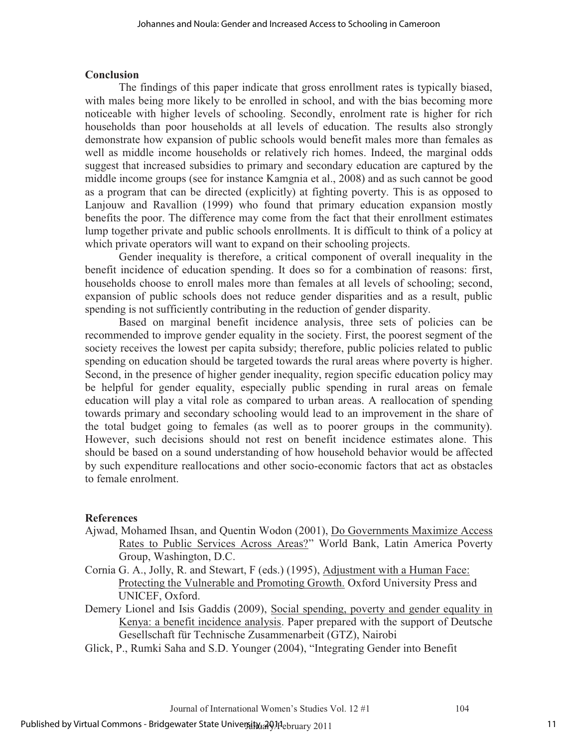## **Conclusion**

The findings of this paper indicate that gross enrollment rates is typically biased, with males being more likely to be enrolled in school, and with the bias becoming more noticeable with higher levels of schooling. Secondly, enrolment rate is higher for rich households than poor households at all levels of education. The results also strongly demonstrate how expansion of public schools would benefit males more than females as well as middle income households or relatively rich homes. Indeed, the marginal odds suggest that increased subsidies to primary and secondary education are captured by the middle income groups (see for instance Kamgnia et al., 2008) and as such cannot be good as a program that can be directed (explicitly) at fighting poverty. This is as opposed to Lanjouw and Ravallion (1999) who found that primary education expansion mostly benefits the poor. The difference may come from the fact that their enrollment estimates lump together private and public schools enrollments. It is difficult to think of a policy at which private operators will want to expand on their schooling projects.

Gender inequality is therefore, a critical component of overall inequality in the benefit incidence of education spending. It does so for a combination of reasons: first, households choose to enroll males more than females at all levels of schooling; second, expansion of public schools does not reduce gender disparities and as a result, public spending is not sufficiently contributing in the reduction of gender disparity.

Based on marginal benefit incidence analysis, three sets of policies can be recommended to improve gender equality in the society. First, the poorest segment of the society receives the lowest per capita subsidy; therefore, public policies related to public spending on education should be targeted towards the rural areas where poverty is higher. Second, in the presence of higher gender inequality, region specific education policy may be helpful for gender equality, especially public spending in rural areas on female education will play a vital role as compared to urban areas. A reallocation of spending towards primary and secondary schooling would lead to an improvement in the share of the total budget going to females (as well as to poorer groups in the community). However, such decisions should not rest on benefit incidence estimates alone. This should be based on a sound understanding of how household behavior would be affected by such expenditure reallocations and other socio-economic factors that act as obstacles to female enrolment.

# **References**

- Ajwad, Mohamed Ihsan, and Quentin Wodon (2001), Do Governments Maximize Access Rates to Public Services Across Areas?" World Bank, Latin America Poverty Group, Washington, D.C.
- Cornia G. A., Jolly, R. and Stewart, F (eds.) (1995), Adjustment with a Human Face: Protecting the Vulnerable and Promoting Growth. Oxford University Press and UNICEF, Oxford.
- Demery Lionel and Isis Gaddis (2009), Social spending, poverty and gender equality in Kenya: a benefit incidence analysis. Paper prepared with the support of Deutsche Gesellschaft für Technische Zusammenarbeit (GTZ), Nairobi
- Glick, P., Rumki Saha and S.D. Younger (2004), "Integrating Gender into Benefit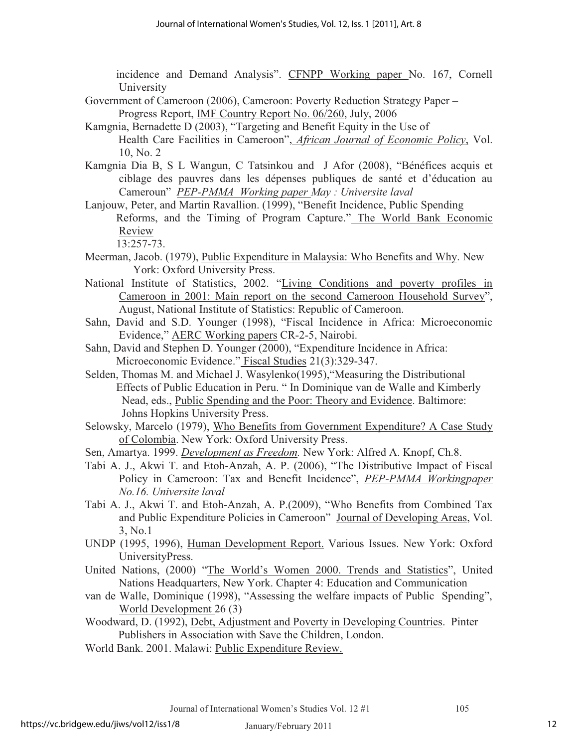incidence and Demand Analysis". CFNPP Working paper No. 167, Cornell University

- Government of Cameroon (2006), Cameroon: Poverty Reduction Strategy Paper Progress Report, IMF Country Report No. 06/260, July, 2006
- Kamgnia, Bernadette D (2003), "Targeting and Benefit Equity in the Use of Health Care Facilities in Cameroon", *African Journal of Economic Policy*, Vol. 10, No. 2
- Kamgnia Dia B, S L Wangun, C Tatsinkou and J Afor (2008), "Bénéfices acquis et ciblage des pauvres dans les dépenses publiques de santé et d'éducation au Cameroun" *PEP-PMMA Working paper May : Universite laval*
- Lanjouw, Peter, and Martin Ravallion. (1999), "Benefit Incidence, Public Spending Reforms, and the Timing of Program Capture." The World Bank Economic Review

```
 13:257-73.
```
- Meerman, Jacob. (1979), Public Expenditure in Malaysia: Who Benefits and Why. New York: Oxford University Press.
- National Institute of Statistics, 2002. "Living Conditions and poverty profiles in Cameroon in 2001: Main report on the second Cameroon Household Survey", August, National Institute of Statistics: Republic of Cameroon.
- Sahn, David and S.D. Younger (1998), "Fiscal Incidence in Africa: Microeconomic Evidence," AERC Working papers CR-2-5, Nairobi.
- Sahn, David and Stephen D. Younger (2000), "Expenditure Incidence in Africa: Microeconomic Evidence." Fiscal Studies 21(3):329-347.
- Selden, Thomas M. and Michael J. Wasylenko(1995),"Measuring the Distributional Effects of Public Education in Peru. " In Dominique van de Walle and Kimberly Nead, eds., Public Spending and the Poor: Theory and Evidence. Baltimore: Johns Hopkins University Press.
- Selowsky, Marcelo (1979), Who Benefits from Government Expenditure? A Case Study of Colombia. New York: Oxford University Press.
- Sen, Amartya. 1999. *Development as Freedom.* New York: Alfred A. Knopf, Ch.8.
- Tabi A. J., Akwi T. and Etoh-Anzah, A. P. (2006), "The Distributive Impact of Fiscal Policy in Cameroon: Tax and Benefit Incidence", *PEP-PMMA Workingpaper No.16. Universite laval*
- Tabi A. J., Akwi T. and Etoh-Anzah, A. P.(2009), "Who Benefits from Combined Tax and Public Expenditure Policies in Cameroon" Journal of Developing Areas, Vol. 3, No.1
- UNDP (1995, 1996), Human Development Report. Various Issues. New York: Oxford UniversityPress.
- United Nations, (2000) "The World's Women 2000. Trends and Statistics", United Nations Headquarters, New York. Chapter 4: Education and Communication
- van de Walle, Dominique (1998), "Assessing the welfare impacts of Public Spending", World Development 26 (3)
- Woodward, D. (1992), Debt, Adjustment and Poverty in Developing Countries. Pinter Publishers in Association with Save the Children, London.
- World Bank. 2001. Malawi: Public Expenditure Review.